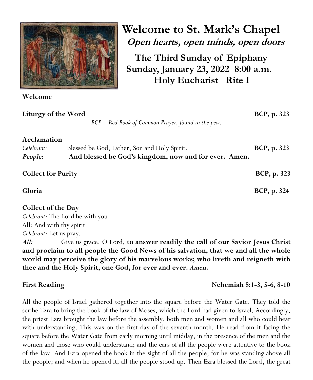

**Welcome to St. Mark's Chapel Open hearts, open minds, open doors**

**The Third Sunday of Epiphany Sunday, January 23, 2022 8:00 a.m. Holy Eucharist Rite I**

**Welcome** 

**Liturgy of the Word****BCP, p. 323**

*BCP – Red Book of Common Prayer, found in the pew.*

## **Acclamation**

| Celebrant: | Blessed be God, Father, Son and Holy Spirit.          | <b>BCP</b> , p. 323 |
|------------|-------------------------------------------------------|---------------------|
| People:    | And blessed be God's kingdom, now and for ever. Amen. |                     |
|            |                                                       |                     |

**Collect** for Purity **BCP**, p. 323

**Gloria BCP, p. 324**

# **Collect of the Day**

*Celebrant:* The Lord be with you All: And with thy spirit *Celebrant:* Let us pray.

*All:*Give us grace, O Lord, **to answer readily the call of our Savior Jesus Christ and proclaim to all people the Good News of his salvation, that we and all the whole world may perceive the glory of his marvelous works; who liveth and reigneth with thee and the Holy Spirit, one God, for ever and ever.** *Amen***.**

First Reading **Nehemiah 8:1-3, 5-6, 8-10** 

All the people of Israel gathered together into the square before the Water Gate. They told the scribe Ezra to bring the book of the law of Moses, which the Lord had given to Israel. Accordingly, the priest Ezra brought the law before the assembly, both men and women and all who could hear with understanding. This was on the first day of the seventh month. He read from it facing the square before the Water Gate from early morning until midday, in the presence of the men and the women and those who could understand; and the ears of all the people were attentive to the book of the law. And Ezra opened the book in the sight of all the people, for he was standing above all the people; and when he opened it, all the people stood up. Then Ezra blessed the Lord, the great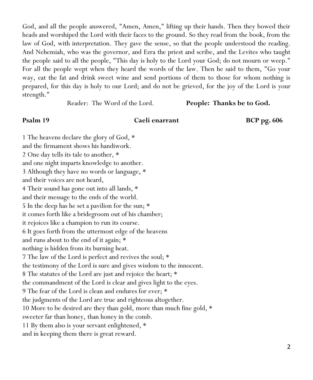God, and all the people answered, "Amen, Amen," lifting up their hands. Then they bowed their heads and worshiped the Lord with their faces to the ground. So they read from the book, from the law of God, with interpretation. They gave the sense, so that the people understood the reading. And Nehemiah, who was the governor, and Ezra the priest and scribe, and the Levites who taught the people said to all the people, "This day is holy to the Lord your God; do not mourn or weep." For all the people wept when they heard the words of the law. Then he said to them, "Go your way, eat the fat and drink sweet wine and send portions of them to those for whom nothing is prepared, for this day is holy to our Lord; and do not be grieved, for the joy of the Lord is your strength."

Reader: The Word of the Lord. **People: Thanks be to God.**

### **Psalm 19 Caeli enarrant BCP pg. 606**

1 The heavens declare the glory of God, \* and the firmament shows his handiwork. 2 One day tells its tale to another, \* and one night imparts knowledge to another. 3 Although they have no words or language, \* and their voices are not heard, 4 Their sound has gone out into all lands, \* and their message to the ends of the world. 5 In the deep has he set a pavilion for the sun; \* it comes forth like a bridegroom out of his chamber; it rejoices like a champion to run its course. 6 It goes forth from the uttermost edge of the heavens and runs about to the end of it again; \* nothing is hidden from its burning heat. 7 The law of the Lord is perfect and revives the soul; \* the testimony of the Lord is sure and gives wisdom to the innocent. 8 The statutes of the Lord are just and rejoice the heart; \* the commandment of the Lord is clear and gives light to the eyes. 9 The fear of the Lord is clean and endures for ever; \* the judgments of the Lord are true and righteous altogether. 10 More to be desired are they than gold, more than much fine gold, \* sweeter far than honey, than honey in the comb. 11 By them also is your servant enlightened, \* and in keeping them there is great reward.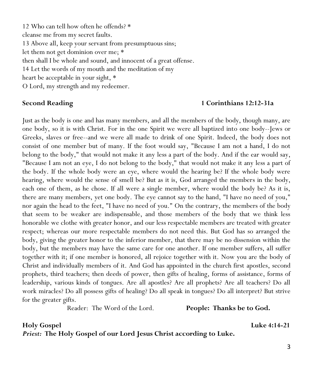12 Who can tell how often he offends? \* cleanse me from my secret faults. 13 Above all, keep your servant from presumptuous sins; let them not get dominion over me; \* then shall I be whole and sound, and innocent of a great offense. 14 Let the words of my mouth and the meditation of my heart be acceptable in your sight, \* O Lord, my strength and my redeemer.

### **Second Reading 1 Corinthians 12:12-31a**

Just as the body is one and has many members, and all the members of the body, though many, are one body, so it is with Christ. For in the one Spirit we were all baptized into one body--Jews or Greeks, slaves or free--and we were all made to drink of one Spirit. Indeed, the body does not consist of one member but of many. If the foot would say, "Because I am not a hand, I do not belong to the body," that would not make it any less a part of the body. And if the ear would say, "Because I am not an eye, I do not belong to the body," that would not make it any less a part of the body. If the whole body were an eye, where would the hearing be? If the whole body were hearing, where would the sense of smell be? But as it is, God arranged the members in the body, each one of them, as he chose. If all were a single member, where would the body be? As it is, there are many members, yet one body. The eye cannot say to the hand, "I have no need of you," nor again the head to the feet, "I have no need of you." On the contrary, the members of the body that seem to be weaker are indispensable, and those members of the body that we think less honorable we clothe with greater honor, and our less respectable members are treated with greater respect; whereas our more respectable members do not need this. But God has so arranged the body, giving the greater honor to the inferior member, that there may be no dissension within the body, but the members may have the same care for one another. If one member suffers, all suffer together with it; if one member is honored, all rejoice together with it. Now you are the body of Christ and individually members of it. And God has appointed in the church first apostles, second prophets, third teachers; then deeds of power, then gifts of healing, forms of assistance, forms of leadership, various kinds of tongues. Are all apostles? Are all prophets? Are all teachers? Do all work miracles? Do all possess gifts of healing? Do all speak in tongues? Do all interpret? But strive for the greater gifts.

Reader: The Word of the Lord. **People: Thanks be to God.**

**Holy Gospel Luke 4:14-21** *Priest:* **The Holy Gospel of our Lord Jesus Christ according to Luke.**